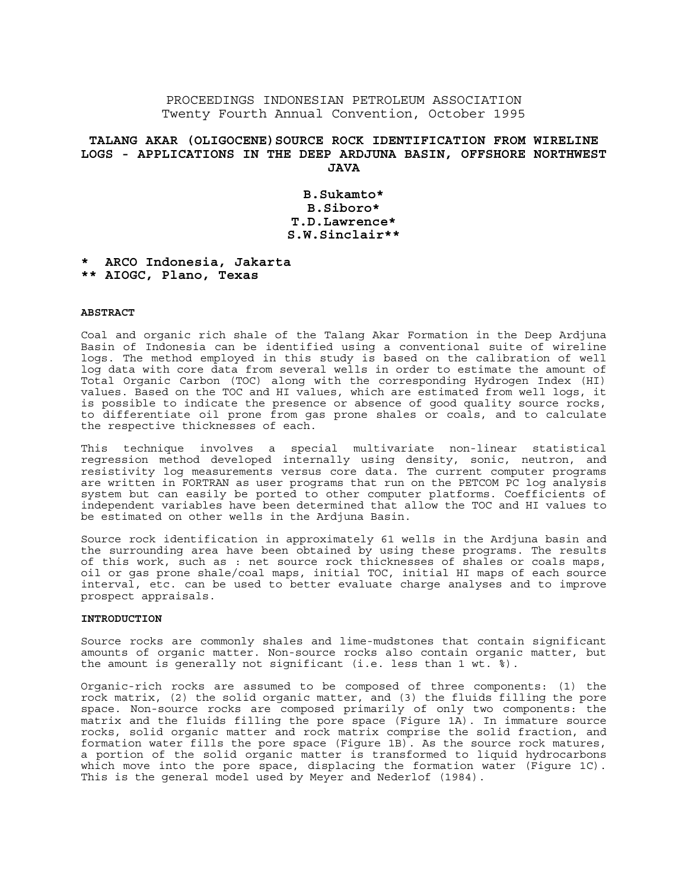## PROCEEDINGS INDONESIAN PETROLEUM ASSOCIATION Twenty Fourth Annual Convention, October 1995

# **TALANG AKAR (OLIGOCENE)SOURCE ROCK IDENTIFICATION FROM WIRELINE LOGS - APPLICATIONS IN THE DEEP ARDJUNA BASIN, OFFSHORE NORTHWEST JAVA**

**B.Sukamto\* B.Siboro\* T.D.Lawrence\* S.W.Sinclair\*\*** 

**\* ARCO Indonesia, Jakarta** 

## **\*\* AIOGC, Plano, Texas**

## **ABSTRACT**

Coal and organic rich shale of the Talang Akar Formation in the Deep Ardjuna Basin of Indonesia can be identified using a conventional suite of wireline logs. The method employed in this study is based on the calibration of well log data with core data from several wells in order to estimate the amount of Total Organic Carbon (TOC) along with the corresponding Hydrogen Index (HI) values. Based on the TOC and HI values, which are estimated from well logs, it is possible to indicate the presence or absence of good quality source rocks, to differentiate oil prone from gas prone shales or coals, and to calculate the respective thicknesses of each.

This technique involves a special multivariate non-linear statistical regression method developed internally using density, sonic, neutron, and resistivity log measurements versus core data. The current computer programs are written in FORTRAN as user programs that run on the PETCOM PC log analysis system but can easily be ported to other computer platforms. Coefficients of independent variables have been determined that allow the TOC and HI values to be estimated on other wells in the Ardjuna Basin.

Source rock identification in approximately 61 wells in the Ardjuna basin and the surrounding area have been obtained by using these programs. The results of this work, such as : net source rock thicknesses of shales or coals maps, oil or gas prone shale/coal maps, initial TOC, initial HI maps of each source interval, etc. can be used to better evaluate charge analyses and to improve prospect appraisals.

## **INTRODUCTION**

Source rocks are commonly shales and lime-mudstones that contain significant amounts of organic matter. Non-source rocks also contain organic matter, but the amount is generally not significant (i.e. less than 1 wt. %).

Organic-rich rocks are assumed to be composed of three components: (1) the rock matrix, (2) the solid organic matter, and (3) the fluids filling the pore space. Non-source rocks are composed primarily of only two components: the matrix and the fluids filling the pore space (Figure 1A). In immature source rocks, solid organic matter and rock matrix comprise the solid fraction, and formation water fills the pore space (Figure 1B). As the source rock matures, a portion of the solid organic matter is transformed to liquid hydrocarbons which move into the pore space, displacing the formation water (Figure 1C). This is the general model used by Meyer and Nederlof (1984).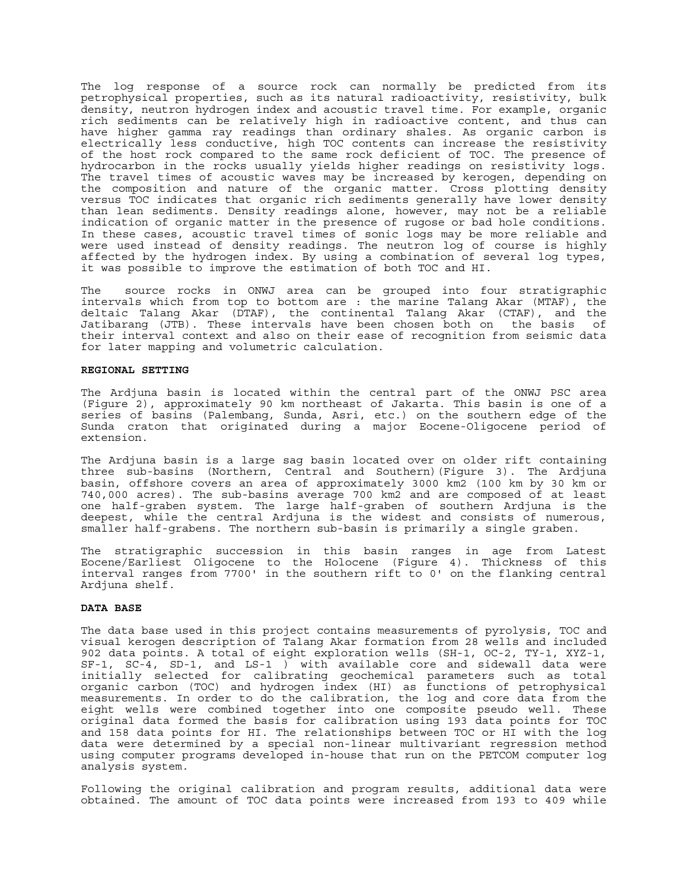The log response of a source rock can normally be predicted from its petrophysical properties, such as its natural radioactivity, resistivity, bulk density, neutron hydrogen index and acoustic travel time. For example, organic rich sediments can be relatively high in radioactive content, and thus can have higher gamma ray readings than ordinary shales. As organic carbon is electrically less conductive, high TOC contents can increase the resistivity of the host rock compared to the same rock deficient of TOC. The presence of hydrocarbon in the rocks usually yields higher readings on resistivity logs. The travel times of acoustic waves may be increased by kerogen, depending on the composition and nature of the organic matter. Cross plotting density versus TOC indicates that organic rich sediments generally have lower density than lean sediments. Density readings alone, however, may not be a reliable indication of organic matter in the presence of rugose or bad hole conditions. In these cases, acoustic travel times of sonic logs may be more reliable and were used instead of density readings. The neutron log of course is highly affected by the hydrogen index. By using a combination of several log types, it was possible to improve the estimation of both TOC and HI.

The source rocks in ONWJ area can be grouped into four stratigraphic intervals which from top to bottom are : the marine Talang Akar (MTAF), the deltaic Talang Akar (DTAF), the continental Talang Akar (CTAF), and the Jatibarang (JTB). These intervals have been chosen both on the basis of their interval context and also on their ease of recognition from seismic data for later mapping and volumetric calculation.

#### **REGIONAL SETTING**

The Ardjuna basin is located within the central part of the ONWJ PSC area (Figure 2), approximately 90 km northeast of Jakarta. This basin is one of a series of basins (Palembang, Sunda, Asri, etc.) on the southern edge of the Sunda craton that originated during a major Eocene-Oligocene period of extension.

The Ardjuna basin is a large sag basin located over on older rift containing three sub-basins (Northern, Central and Southern)(Figure 3). The Ardjuna basin, offshore covers an area of approximately 3000 km2 (100 km by 30 km or 740,000 acres). The sub-basins average 700 km2 and are composed of at least one half-graben system. The large half-graben of southern Ardjuna is the deepest, while the central Ardjuna is the widest and consists of numerous, smaller half-grabens. The northern sub-basin is primarily a single graben.

The stratigraphic succession in this basin ranges in age from Latest Eocene/Earliest Oligocene to the Holocene (Figure 4). Thickness of this interval ranges from 7700' in the southern rift to 0' on the flanking central Ardjuna shelf.

#### **DATA BASE**

The data base used in this project contains measurements of pyrolysis, TOC and visual kerogen description of Talang Akar formation from 28 wells and included 902 data points. A total of eight exploration wells (SH-1, OC-2, TY-1, XYZ-1, SF-1, SC-4, SD-1, and LS-1 ) with available core and sidewall data were initially selected for calibrating geochemical parameters such as total organic carbon (TOC) and hydrogen index (HI) as functions of petrophysical measurements. In order to do the calibration, the log and core data from the eight wells were combined together into one composite pseudo well. These original data formed the basis for calibration using 193 data points for TOC and 158 data points for HI. The relationships between TOC or HI with the log data were determined by a special non-linear multivariant regression method using computer programs developed in-house that run on the PETCOM computer log analysis system.

Following the original calibration and program results, additional data were obtained. The amount of TOC data points were increased from 193 to 409 while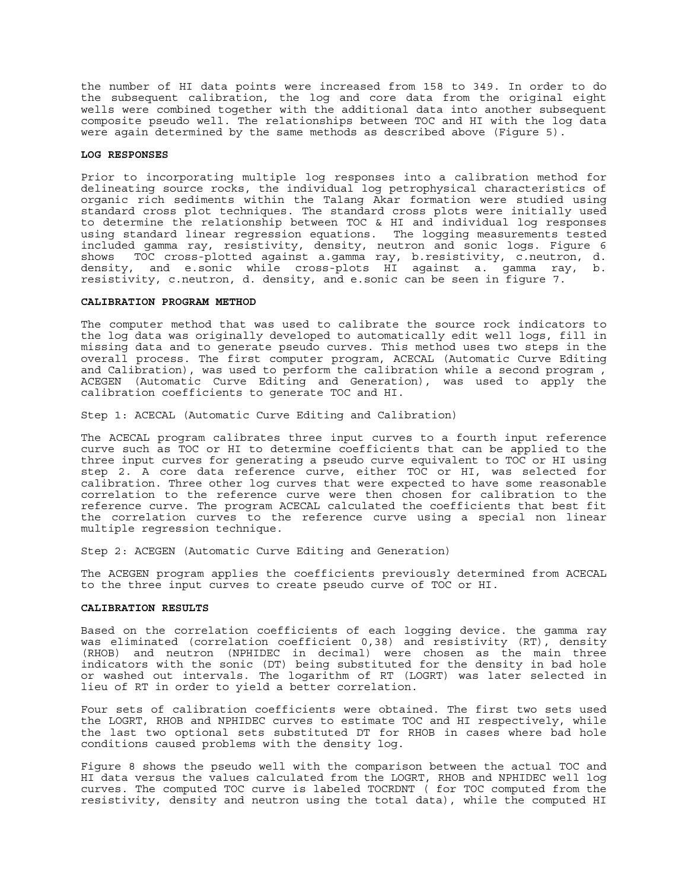the number of HI data points were increased from 158 to 349. In order to do the subsequent calibration, the log and core data from the original eight wells were combined together with the additional data into another subsequent composite pseudo well. The relationships between TOC and HI with the log data were again determined by the same methods as described above (Figure 5).

### **LOG RESPONSES**

Prior to incorporating multiple log responses into a calibration method for delineating source rocks, the individual log petrophysical characteristics of organic rich sediments within the Talang Akar formation were studied using standard cross plot techniques. The standard cross plots were initially used to determine the relationship between TOC & HI and individual log responses using standard linear regression equations. The logging measurements tested included gamma ray, resistivity, density, neutron and sonic logs. Figure 6 shows TOC cross-plotted against a.gamma ray, b.resistivity, c.neutron, d. density, and e.sonic while cross-plots HI against a. gamma ray, b. resistivity, c.neutron, d. density, and e.sonic can be seen in figure 7.

#### **CALIBRATION PROGRAM METHOD**

The computer method that was used to calibrate the source rock indicators to the log data was originally developed to automatically edit well logs, fill in missing data and to generate pseudo curves. This method uses two steps in the overall process. The first computer program, ACECAL (Automatic Curve Editing and Calibration), was used to perform the calibration while a second program , ACEGEN (Automatic Curve Editing and Generation), was used to apply the calibration coefficients to generate TOC and HI.

Step 1: ACECAL (Automatic Curve Editing and Calibration)

The ACECAL program calibrates three input curves to a fourth input reference curve such as TOC or HI to determine coefficients that can be applied to the three input curves for generating a pseudo curve equivalent to TOC or HI using step 2. A core data reference curve, either TOC or HI, was selected for calibration. Three other log curves that were expected to have some reasonable correlation to the reference curve were then chosen for calibration to the reference curve. The program ACECAL calculated the coefficients that best fit the correlation curves to the reference curve using a special non linear multiple regression technique.

Step 2: ACEGEN (Automatic Curve Editing and Generation)

The ACEGEN program applies the coefficients previously determined from ACECAL to the three input curves to create pseudo curve of TOC or HI.

#### **CALIBRATION RESULTS**

Based on the correlation coefficients of each logging device. the gamma ray was eliminated (correlation coefficient 0,38) and resistivity (RT), density (RHOB) and neutron (NPHIDEC in decimal) were chosen as the main three indicators with the sonic (DT) being substituted for the density in bad hole or washed out intervals. The logarithm of RT (LOGRT) was later selected in lieu of RT in order to yield a better correlation.

Four sets of calibration coefficients were obtained. The first two sets used the LOGRT, RHOB and NPHIDEC curves to estimate TOC and HI respectively, while the last two optional sets substituted DT for RHOB in cases where bad hole conditions caused problems with the density log.

Figure 8 shows the pseudo well with the comparison between the actual TOC and HI data versus the values calculated from the LOGRT, RHOB and NPHIDEC well log curves. The computed TOC curve is labeled TOCRDNT ( for TOC computed from the resistivity, density and neutron using the total data), while the computed HI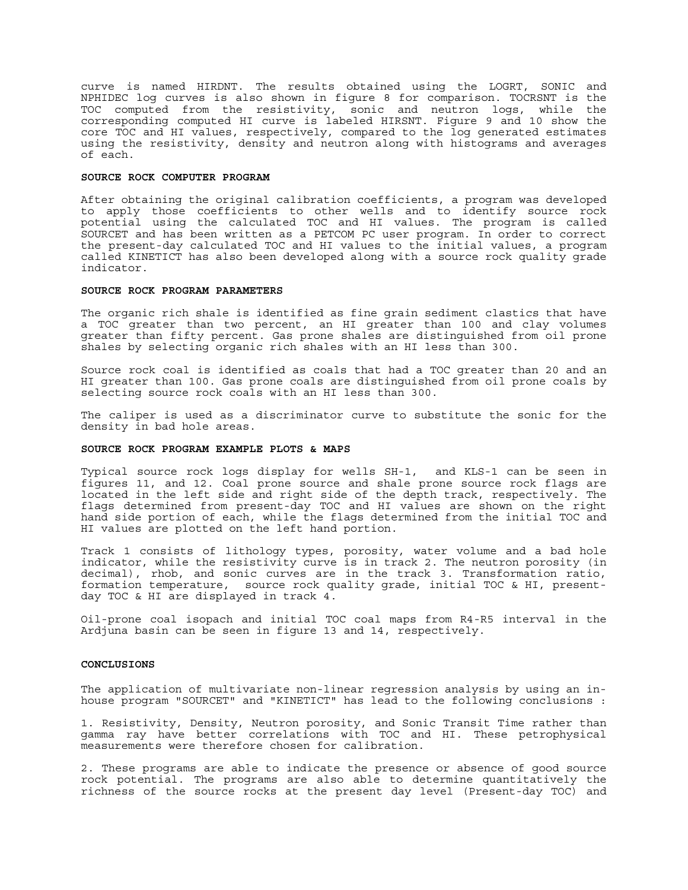curve is named HIRDNT. The results obtained using the LOGRT, SONIC and NPHIDEC log curves is also shown in figure 8 for comparison. TOCRSNT is the TOC computed from the resistivity, sonic and neutron logs, while the corresponding computed HI curve is labeled HIRSNT. Figure 9 and 10 show the core TOC and HI values, respectively, compared to the log generated estimates using the resistivity, density and neutron along with histograms and averages of each.

### **SOURCE ROCK COMPUTER PROGRAM**

After obtaining the original calibration coefficients, a program was developed to apply those coefficients to other wells and to identify source rock potential using the calculated TOC and HI values. The program is called SOURCET and has been written as a PETCOM PC user program. In order to correct the present-day calculated TOC and HI values to the initial values, a program called KINETICT has also been developed along with a source rock quality grade indicator.

### **SOURCE ROCK PROGRAM PARAMETERS**

The organic rich shale is identified as fine grain sediment clastics that have a TOC greater than two percent, an HI greater than 100 and clay volumes greater than fifty percent. Gas prone shales are distinguished from oil prone shales by selecting organic rich shales with an HI less than 300.

Source rock coal is identified as coals that had a TOC greater than 20 and an HI greater than 100. Gas prone coals are distinguished from oil prone coals by selecting source rock coals with an HI less than 300.

The caliper is used as a discriminator curve to substitute the sonic for the density in bad hole areas.

#### **SOURCE ROCK PROGRAM EXAMPLE PLOTS & MAPS**

Typical source rock logs display for wells SH-1, and KLS-1 can be seen in figures 11, and 12. Coal prone source and shale prone source rock flags are located in the left side and right side of the depth track, respectively. The flags determined from present-day TOC and HI values are shown on the right hand side portion of each, while the flags determined from the initial TOC and HI values are plotted on the left hand portion.

Track 1 consists of lithology types, porosity, water volume and a bad hole indicator, while the resistivity curve is in track 2. The neutron porosity (in decimal), rhob, and sonic curves are in the track 3. Transformation ratio, formation temperature, source rock quality grade, initial TOC & HI, presentday TOC & HI are displayed in track 4.

Oil-prone coal isopach and initial TOC coal maps from R4-R5 interval in the Ardjuna basin can be seen in figure 13 and 14, respectively.

#### **CONCLUSIONS**

The application of multivariate non-linear regression analysis by using an inhouse program "SOURCET" and "KINETICT" has lead to the following conclusions :

1. Resistivity, Density, Neutron porosity, and Sonic Transit Time rather than gamma ray have better correlations with TOC and HI. These petrophysical measurements were therefore chosen for calibration.

2. These programs are able to indicate the presence or absence of good source rock potential. The programs are also able to determine quantitatively the richness of the source rocks at the present day level (Present-day TOC) and